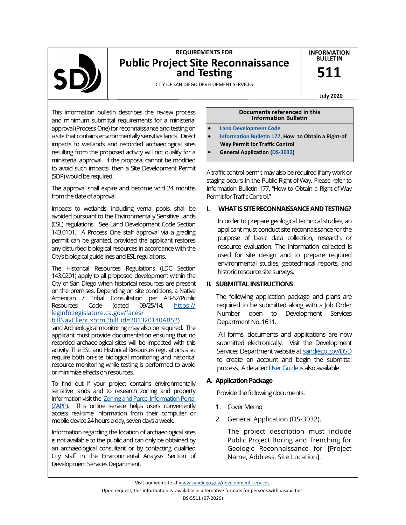

# **REQUIREMENTS FOR Public Project Site Reconnaissance and Testing**

**INFORMATION BULLETIN** 

**511** 

CITY OF SAN DIEGO DEVELOPMENT SERVICES

**July 2020**

This information bulletin describes the review process and minimum submittal requirements for a ministerial approval (Process One) for reconnaissance and testing on a site that contains environmentally sensitive lands. Direct impacts to wetlands and recorded archaeological sites resulting from the proposed activity will not qualify for a ministerial approval. If the proposal cannot be modified to avoid such impacts, then a Site Development Permit (SDP) would be required.

The approval shall expire and become void 24 months from the date of approval.

Impacts to wetlands, including vernal pools, shall be avoided pursuant to the Environmentally Sensitive Lands (ESL) regulations. See Land Development Code Section 143.0101. A Process One staff approval via a grading permit can be granted, provided the applicant restores any disturbed biological resources in accordance with the City's biological guidelines and ESL regulations.

The Historical Resources Regulations (LDC Section 143.0201) apply to all proposed development within the City of San Diego when historical resources are present on the premises. Depending on site conditions, a Native American / Tribal Consultation per AB-52/Public Resources Code (dated 09/25/14, [https://](https://leginfo.legislature.ca.gov/faces/billNavClient.xhtml?bill_id=201320140AB52) [leginfo.legislature.ca.gov/faces/](https://leginfo.legislature.ca.gov/faces/billNavClient.xhtml?bill_id=201320140AB52)

#### [billNavClient.xhtml?bill\\_id=201320140AB52\)](https://leginfo.legislature.ca.gov/faces/billNavClient.xhtml?bill_id=201320140AB52)

and Archeological monitoring may also be required. The applicant must provide documentation ensuring that no recorded archaeological sites will be impacted with this activity. The ESL and Historical Resources regulations also require both on-site biological monitoring and historical resource monitoring while testing is performed to avoid or minimize effects on resources.

To find out if your project contains environmentally sensitive lands and to research zoning and property information visit the [Zoning and Parcel Information Portal](https://sandiego.maps.arcgis.com/apps/webappviewer/index.html?id=3057676023954a828ad92ef22b5ff349)  [\(ZAPP\).](https://sandiego.maps.arcgis.com/apps/webappviewer/index.html?id=3057676023954a828ad92ef22b5ff349) This online service helps users conveniently access real-time information from their computer or mobile device 24 hours a day, seven days a week.

Information regarding the location of archaeological sites is not available to the public and can only be obtained by an archaeological consultant or by contacting qualified City staff in the Environmental Analysis Section of Development Services Department.

#### **Documents referenced in this Information Bulletin**

- **[Land Development Code](https://www.sandiego.gov/planning/programs/land-development-code)**
- **[Information Bulletin 177,](https://www.sandiego.gov/sites/default/files/dsdib177.pdf) How to Obtain a Right-of Way Permit for Traffic Control**
- **General Application (DS-[3032\)](https://www.sandiego.gov/sites/default/files/legacy/development-services/pdf/industry/forms/ds3032.pdf)**

A traffic control permit may also be required if any work or staging occurs in the Public Right-of-Way. Please refer to Information Bulletin 177, "How to Obtain a Right-of-Way Permit for Traffic Control."

## **I. WHAT IS SITE RECONNAISSANCE AND TESTING?**

 In order to prepare geological technical studies, an applicant must conduct site reconnaissance for the purpose of basic data collection, research, or resource evaluation. The information collected is used for site design and to prepare required environmental studies, geotechnical reports, and historic resource site surveys.

# **II. SUBMITTAL INSTRUCTIONS**

The following application package and plans are required to be submitted along with a Job Order Number open to Development Services Department No. 1611.

All forms, documents and applications are now submitted electronically. Visit the Development Services Department website at [sandiego.gov/DSD](https://www.sandiego.gov/development-services/) to create an account and begin the submittal process. A detailed User Guide is also available.

# **A. Application Package**

Provide the following documents:

- 1. Cover Memo
- 2. General Application (DS-3032).

 The project description must include Public Project Boring and Trenching for Geologic Reconnaissance for [Project Name, Address, Site Location].

Visit our web site at [www.sandiego.gov/development](https://www.sandiego.gov/development-services)-services. Upon request, this information is available in alternative formats for persons with disabilities. DS-5511 (07-2020)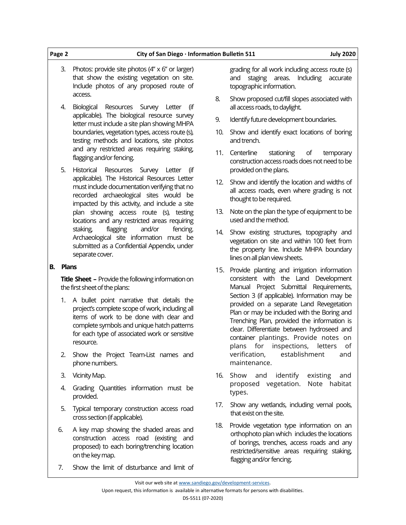3. Photos: provide site photos  $(4'' \times 6''$  or larger) that show the existing vegetation on site. Include photos of any proposed route of access. 4. Biological Resources Survey Letter (if applicable). The biological resource survey letter must include a site plan showing MHPA boundaries, vegetation types, access route (s), testing methods and locations, site photos and any restricted areas requiring staking, flagging and/or fencing. 5. Historical Resources Survey Letter (if applicable). The Historical Resources Letter must include documentation verifying that no recorded archaeological sites would be impacted by this activity, and include a site plan showing access route (s), testing locations and any restricted areas requiring staking, flagging and/or fencing. Archaeological site information must be submitted as a Confidential Appendix, under topographic information. all access roads, to daylight. 9. Identify future development boundaries. 10. Show and identify exact locations of boring and trench. 11. Centerline stationing of temporary provided on the plans. thought to be required. used and the method. 14. Show existing structures, topography and

**Page 2 City of San Diego · Information Bulletin 511 July 2020**

### **B. Plans**

separate cover.

**Title Sheet –** Provide the following information on the first sheet of the plans:

- 1. A bullet point narrative that details the project's complete scope of work, including all items of work to be done with clear and complete symbols and unique hatch patterns for each type of associated work or sensitive resource.
- 2. Show the Project Team-List names and phone numbers.
- 3. Vicinity Map.
- 4. Grading Quantities information must be provided.
- 5. Typical temporary construction access road cross section (if applicable).
- 6. A key map showing the shaded areas and construction access road (existing and proposed) to each boring/trenching location on the key map.
- 7. Show the limit of disturbance and limit of

grading for all work including access route (s) and staging areas. Including accurate

- 8. Show proposed cut/fill slopes associated with
- 
- construction access roads does not need to be
- 12. Show and identify the location and widths of all access roads, even where grading is not
- 13. Note on the plan the type of equipment to be
- vegetation on site and within 100 feet from the property line. Include MHPA boundary lines on all plan view sheets.
- 15. Provide planting and irrigation information consistent with the Land Development Manual Project Submittal Requirements, Section 3 (if applicable). Information may be provided on a separate Land Revegetation Plan or may be included with the Boring and Trenching Plan, provided the information is clear. Differentiate between hydroseed and container plantings. Provide notes on plans for inspections, letters of verification, establishment and maintenance.
- 16. Show and identify existing and proposed vegetation. Note habitat types.
- 17. Show any wetlands, including vernal pools, that exist on the site.
- 18. Provide vegetation type information on an orthophoto plan which includes the locations of borings, trenches, access roads and any restricted/sensitive areas requiring staking, flagging and/or fencing.